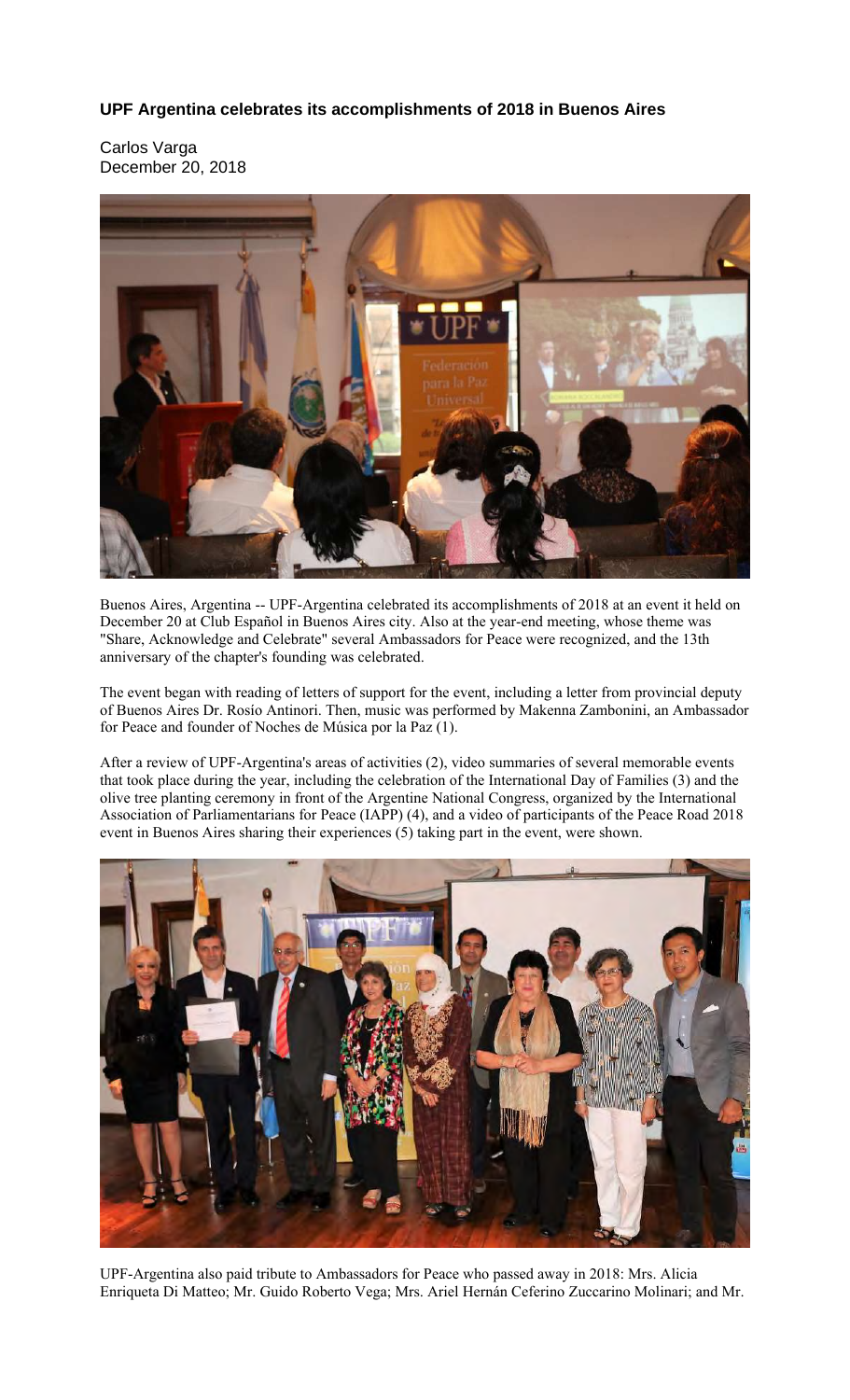## **UPF Argentina celebrates its accomplishments of 2018 in Buenos Aires**

Carlos Varga December 20, 2018



Buenos Aires, Argentina -- UPF-Argentina celebrated its accomplishments of 2018 at an event it held on December 20 at Club Español in Buenos Aires city. Also at the year-end meeting, whose theme was "Share, Acknowledge and Celebrate" several Ambassadors for Peace were recognized, and the 13th anniversary of the chapter's founding was celebrated.

The event began with reading of letters of support for the event, including a letter from provincial deputy of Buenos Aires Dr. Rosío Antinori. Then, music was performed by Makenna Zambonini, an Ambassador for Peace and founder of Noches de Música por la Paz (1).

After a review of UPF-Argentina's areas of activities (2), video summaries of several memorable events that took place during the year, including the celebration of the International Day of Families (3) and the olive tree planting ceremony in front of the Argentine National Congress, organized by the International Association of Parliamentarians for Peace (IAPP) (4), and a video of participants of the Peace Road 2018 event in Buenos Aires sharing their experiences (5) taking part in the event, were shown.



UPF-Argentina also paid tribute to Ambassadors for Peace who passed away in 2018: Mrs. Alicia Enriqueta Di Matteo; Mr. Guido Roberto Vega; Mrs. Ariel Hernán Ceferino Zuccarino Molinari; and Mr.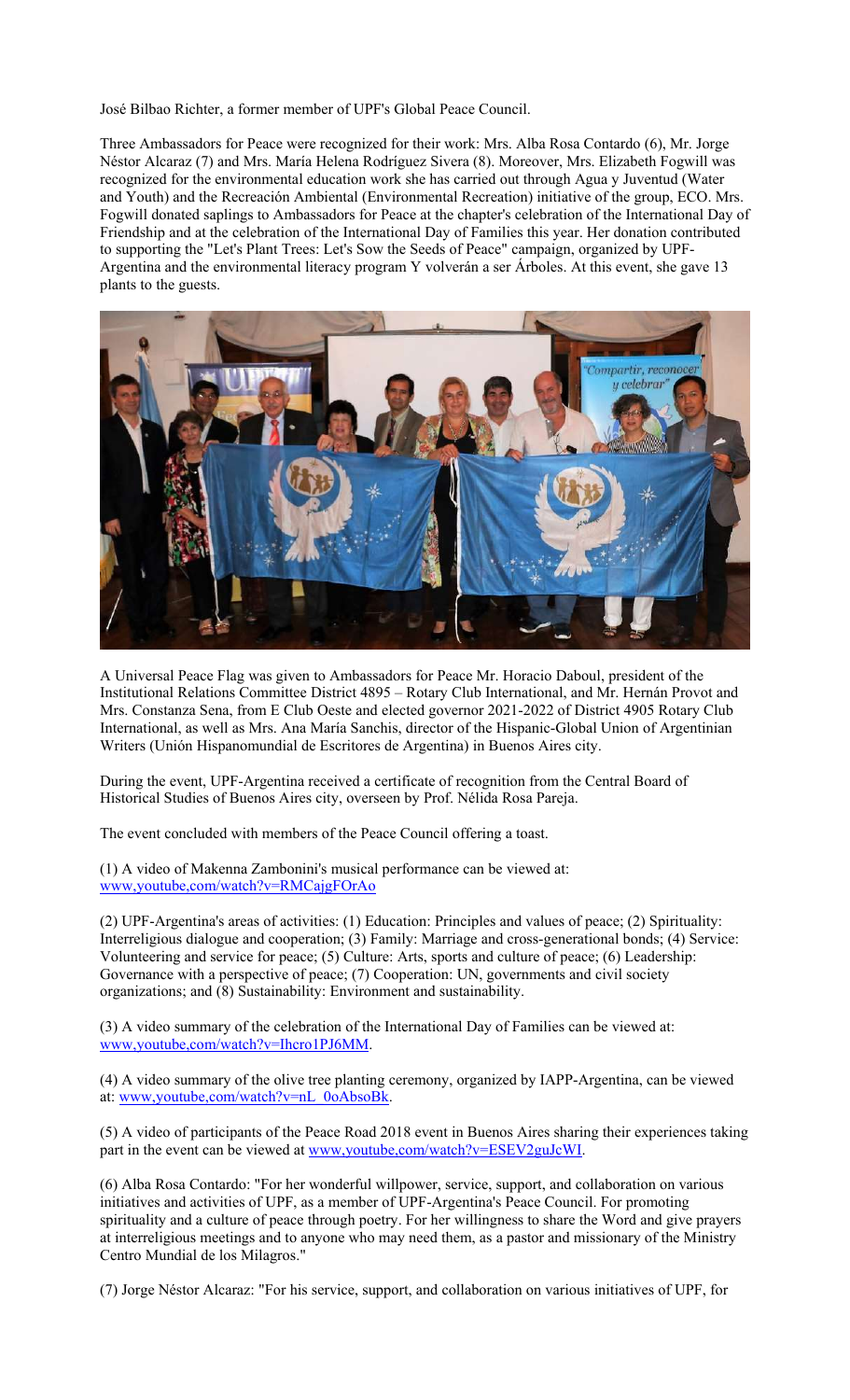José Bilbao Richter, a former member of UPF's Global Peace Council.

Three Ambassadors for Peace were recognized for their work: Mrs. Alba Rosa Contardo (6), Mr. Jorge Néstor Alcaraz (7) and Mrs. María Helena Rodríguez Sivera (8). Moreover, Mrs. Elizabeth Fogwill was recognized for the environmental education work she has carried out through Agua y Juventud (Water and Youth) and the Recreación Ambiental (Environmental Recreation) initiative of the group, ECO. Mrs. Fogwill donated saplings to Ambassadors for Peace at the chapter's celebration of the International Day of Friendship and at the celebration of the International Day of Families this year. Her donation contributed to supporting the "Let's Plant Trees: Let's Sow the Seeds of Peace" campaign, organized by UPF-Argentina and the environmental literacy program Y volverán a ser Árboles. At this event, she gave 13 plants to the guests.



A Universal Peace Flag was given to Ambassadors for Peace Mr. Horacio Daboul, president of the Institutional Relations Committee District 4895 – Rotary Club International, and Mr. Hernán Provot and Mrs. Constanza Sena, from E Club Oeste and elected governor 2021-2022 of District 4905 Rotary Club International, as well as Mrs. Ana María Sanchis, director of the Hispanic-Global Union of Argentinian Writers (Unión Hispanomundial de Escritores de Argentina) in Buenos Aires city.

During the event, UPF-Argentina received a certificate of recognition from the Central Board of Historical Studies of Buenos Aires city, overseen by Prof. Nélida Rosa Pareja.

The event concluded with members of the Peace Council offering a toast.

(1) A video of Makenna Zambonini's musical performance can be viewed at: www,youtube,com/watch?v=RMCajgFOrAo

(2) UPF-Argentina's areas of activities: (1) Education: Principles and values of peace; (2) Spirituality: Interreligious dialogue and cooperation; (3) Family: Marriage and cross-generational bonds; (4) Service: Volunteering and service for peace; (5) Culture: Arts, sports and culture of peace; (6) Leadership: Governance with a perspective of peace; (7) Cooperation: UN, governments and civil society organizations; and (8) Sustainability: Environment and sustainability.

(3) A video summary of the celebration of the International Day of Families can be viewed at: www,youtube,com/watch?v=Ihcro1PJ6MM.

(4) A video summary of the olive tree planting ceremony, organized by IAPP-Argentina, can be viewed at: www,youtube,com/watch?v=nL\_0oAbsoBk.

(5) A video of participants of the Peace Road 2018 event in Buenos Aires sharing their experiences taking part in the event can be viewed at www.youtube.com/watch?v=ESEV2guJcWI.

(6) Alba Rosa Contardo: "For her wonderful willpower, service, support, and collaboration on various initiatives and activities of UPF, as a member of UPF-Argentina's Peace Council. For promoting spirituality and a culture of peace through poetry. For her willingness to share the Word and give prayers at interreligious meetings and to anyone who may need them, as a pastor and missionary of the Ministry Centro Mundial de los Milagros."

(7) Jorge Néstor Alcaraz: "For his service, support, and collaboration on various initiatives of UPF, for